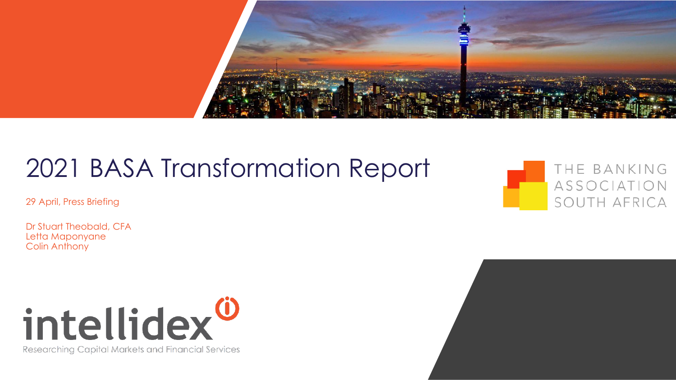

### 2021 BASA Transformation Report

29 April, Press Briefing

Dr Stuart Theobald, CFA Letta Maponyane Colin Anthony





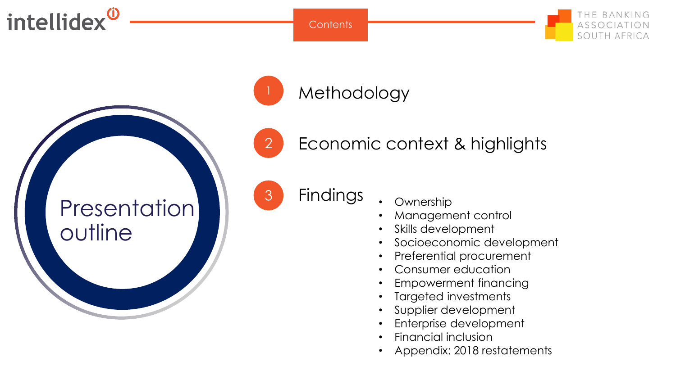





2 Economic context & highlights

3 Findings · Ownership

- 
- Management control
- Skills development
- Socioeconomic development

HE BANKING ASSOCIATION SOUTH AFRICA

- Preferential procurement
- Consumer education
- Empowerment financing
- Targeted investments
- Supplier development
- Enterprise development
- Financial inclusion
- Appendix: 2018 restatements

**Presentation** outline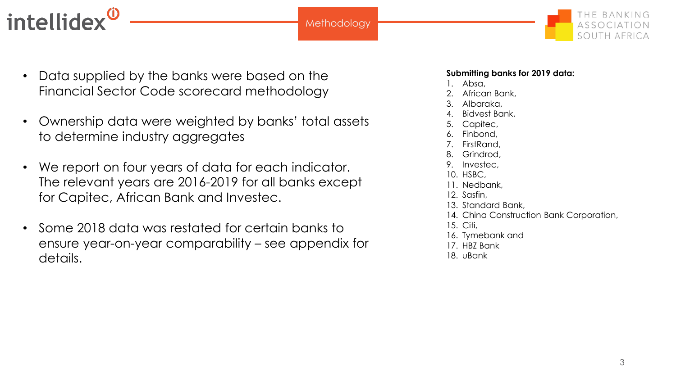intellidex<sup>0</sup>



- Data supplied by the banks were based on the Financial Sector Code scorecard methodology
- Ownership data were weighted by banks' total assets to determine industry aggregates
- We report on four years of data for each indicator. The relevant years are 2016-2019 for all banks except for Capitec, African Bank and Investec.
- Some 2018 data was restated for certain banks to ensure year-on-year comparability – see appendix for details.

#### **Submitting banks for 2019 data:**

- Absa,
- African Bank,
- Albaraka,
- 4. Bidvest Bank,
- Capitec,
- Finbond,
- FirstRand,
- 8. Grindrod,
- 9. Investec,
- 10. HSBC,
- 11. Nedbank,
- 12. Sasfin,
- 13. Standard Bank,
- 14. China Construction Bank Corporation,
- 15. Citi,
- 16. Tymebank and
- 17. HBZ Bank
- 18. uBank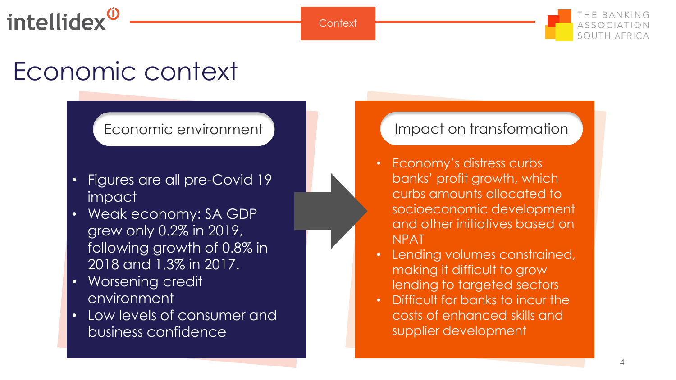intellidex<sup>0</sup>

**Context** 

#### F BANKING  $ASSOCIAT$ SOUTH AFRICA

### Economic context

#### Economic environment

- Figures are all pre-Covid 19 impact
- Weak economy: SA GDP grew only 0.2% in 2019, following growth of 0.8% in 2018 and 1.3% in 2017.
- Worsening credit environment
- Low levels of consumer and business confidence

#### Impact on transformation

- Economy's distress curbs banks' profit growth, which curbs amounts allocated to socioeconomic development and other initiatives based on NPAT
- Lending volumes constrained, making it difficult to grow lending to targeted sectors
- Difficult for banks to incur the costs of enhanced skills and supplier development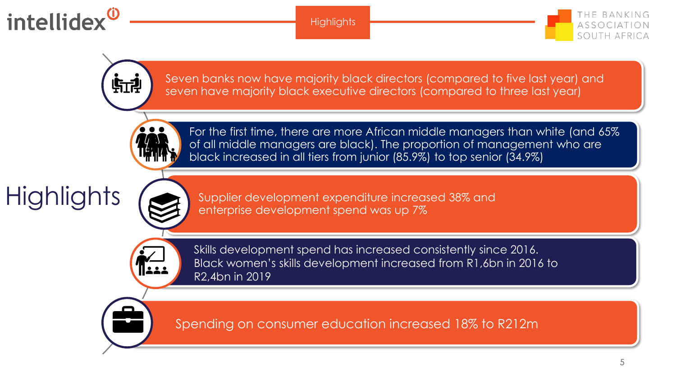

**Highlights** 



**STR** 

Seven banks now have majority black directors (compared to five last year) and seven have majority black executive directors (compared to three last year)

**Highlights** 



For the first time, there are more African middle managers than white (and 65% of all middle managers are black). The proportion of management who are black increased in all tiers from junior (85.9%) to top senior (34.9%)

Supplier development expenditure increased 38% and enterprise development spend was up 7%



Skills development spend has increased consistently since 2016. Black women's skills development increased from R1,6bn in 2016 to R2,4bn in 2019

Spending on consumer education increased 18% to R212m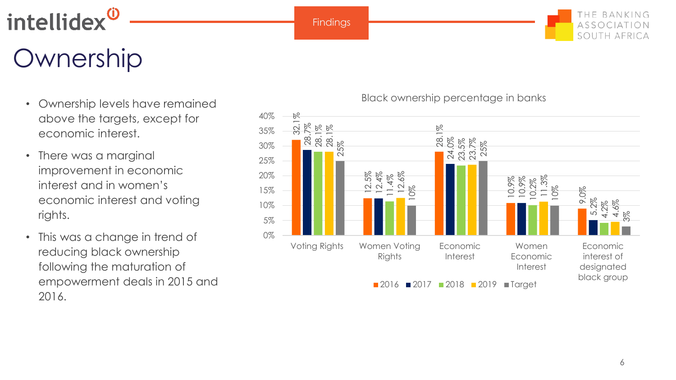# Ownership

intellidex<sup>0</sup>

- Ownership levels have remained above the targets, except for economic interest.
- There was a marginal improvement in economic interest and in women's economic interest and voting rights.
- This was a change in trend of reducing black ownership following the maturation of empowerment deals in 2015 and 2016.

#### Black ownership percentage in banks



THE BANKING ASSOCIATION SOUTH AFRICA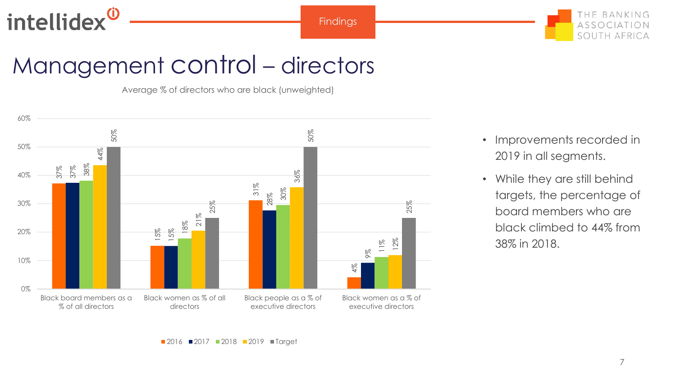# intellidex<sup>0</sup>



#### Management control – directors

Average % of directors who are black (unweighted)



• Improvements recorded in 2019 in all segments.

THE BANKING ASSOCIATION SOUTH AFRICA

• While they are still behind targets, the percentage of board members who are black climbed to 44% from 38% in 2018.

■2016 ■2017 ■2018 ■2019 ■Target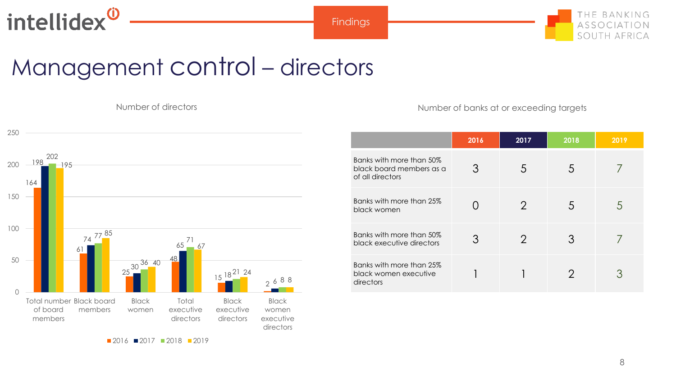

#### THE BANKING ASSOCIATION SOUTH AFRICA

### Management control – directors

Number of directors

Number of banks at or exceeding targets



**2016 2017 2018 2019** Banks with more than 50% black board members as a of all directors 3 5 5 7 Banks with more than 25% black with more than 25%  $\,$  0  $\,$  2  $\,$  5  $\,$  5  $\,$  5  $\,$  5  $\,$  5  $\,$  5  $\,$  5  $\,$  5  $\,$  5  $\,$  5  $\,$  5  $\,$  5  $\,$  5  $\,$  5  $\,$  5  $\,$  5  $\,$  5  $\,$  5  $\,$  5  $\,$  5  $\,$  5  $\,$  5  $\,$  5  $\,$  5  $\,$  5  $\,$  5 Banks with more than 50% Banks with more than 50%<br>black executive directors 3 2 3 7 Banks with more than 25% black women executive directors 1 1 2 3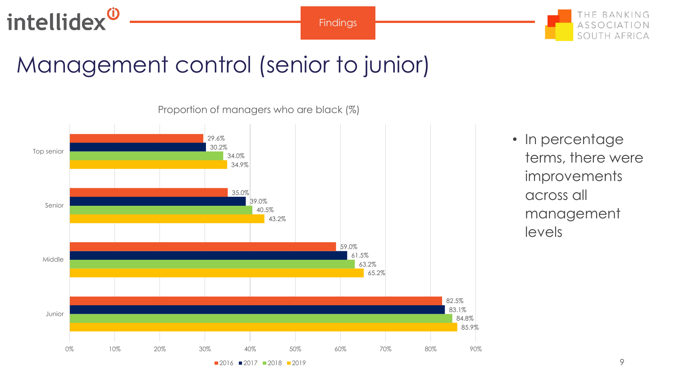

#### THE BANKING ASSOCIATION SOUTH AFRICA

### Management control (senior to junior)

Proportion of managers who are black (%)



• In percentage terms, there were improvements across all management levels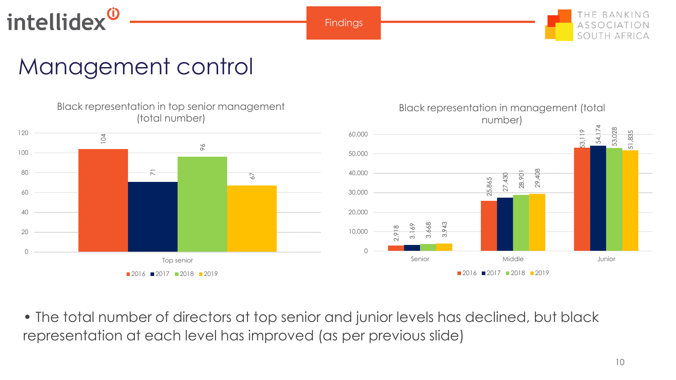

# $SO1$

### Management control



• The total number of directors at top senior and junior levels has declined, but black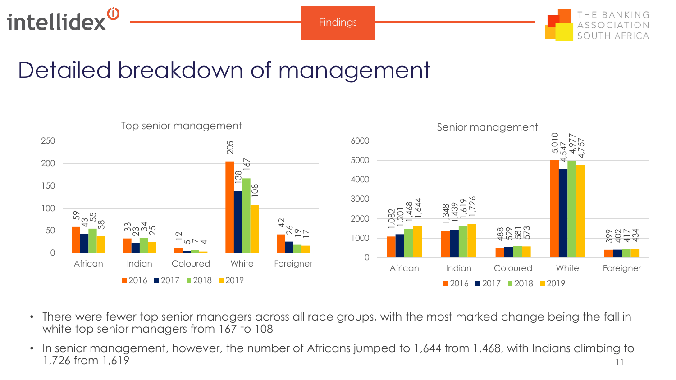



#### Detailed breakdown of management



- There were fewer top senior managers across all race groups, with the most marked change being the fall in white top senior managers from 167 to 108
- • In senior management, however, the number of Africans jumped to 1,644 from 1,468, with Indians climbing to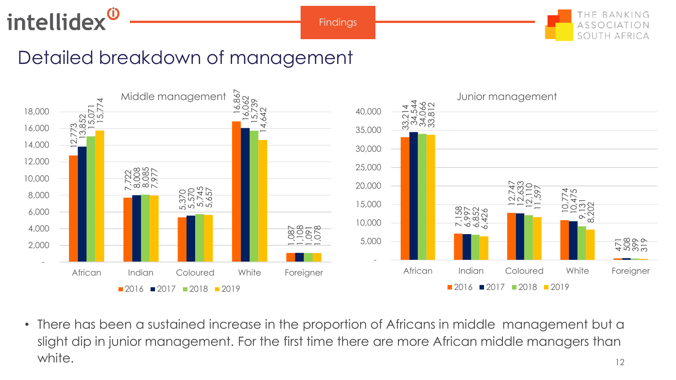



#### Detailed breakdown of management



• There has been a sustained increase in the proportion of Africans in middle management but a slight dip in junior management. For the first time there are more African middle managers than white. 12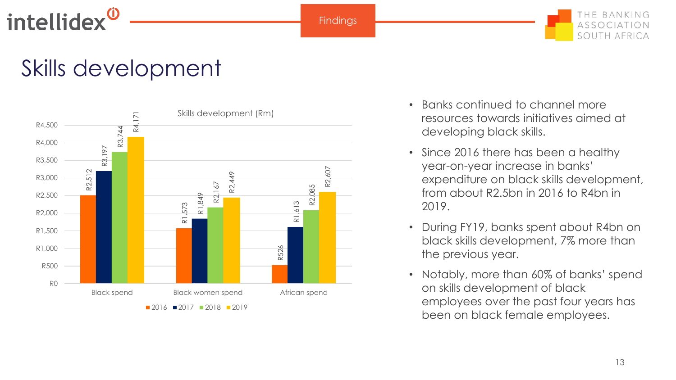intellidex<sup>0</sup>

**Findings** 

#### Skills development



- Banks continued to channel more resources towards initiatives aimed at developing black skills.
- Since 2016 there has been a healthy year-on-year increase in banks' expenditure on black skills development, from about R2.5bn in 2016 to R4bn in 2019.
- During FY19, banks spent about R4bn on black skills development, 7% more than the previous year.
- Notably, more than 60% of banks' spend on skills development of black employees over the past four years has been on black female employees.

**HE BANKING** 

SOUTH AFRICA

**ASSOCIATI**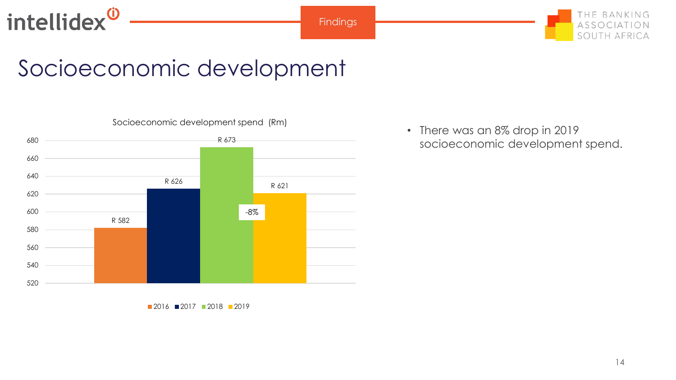



#### Socioeconomic development



• There was an 8% drop in 2019 socioeconomic development spend.

 $2016$  2017 2018 2019

14

**IE BANKING** 

SOUTH AFRICA

ASSOCI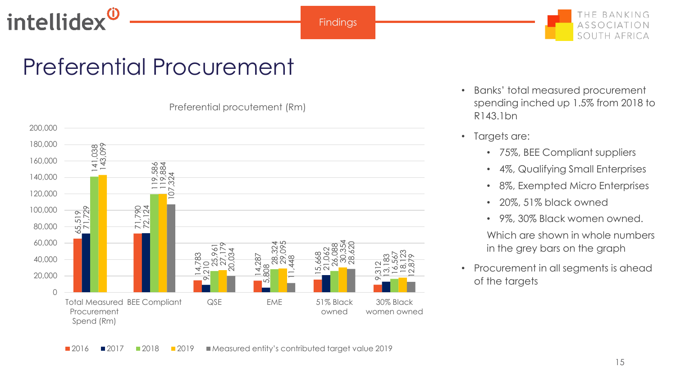

#### THE BANKING ASSOCIATION SOUTH AFRICA

### Preferential Procurement



Preferential procutement (Rm)

- Banks' total measured procurement spending inched up 1.5% from 2018 to R143.1bn
- Targets are:
	- 75%, BEE Compliant suppliers
	- 4%, Qualifying Small Enterprises
	- 8%, Exempted Micro Enterprises
	- 20%, 51% black owned
	- 9%, 30% Black women owned.

Which are shown in whole numbers in the grey bars on the graph

• Procurement in all segments is ahead of the targets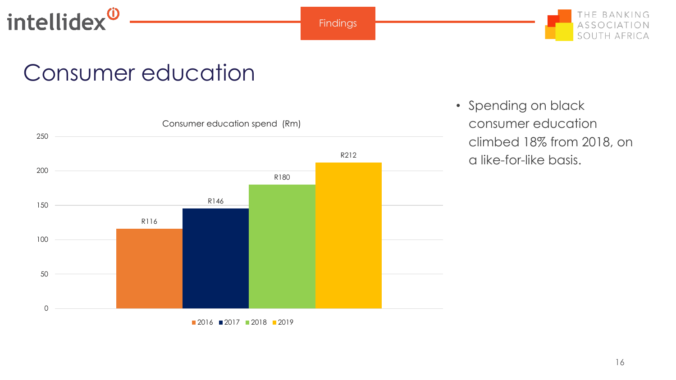

#### THE BANKING **ASSOCIAT** SOUTH AFRICA

#### Consumer education



• Spending on black consumer education climbed 18% from 2018, on a like-for-like basis.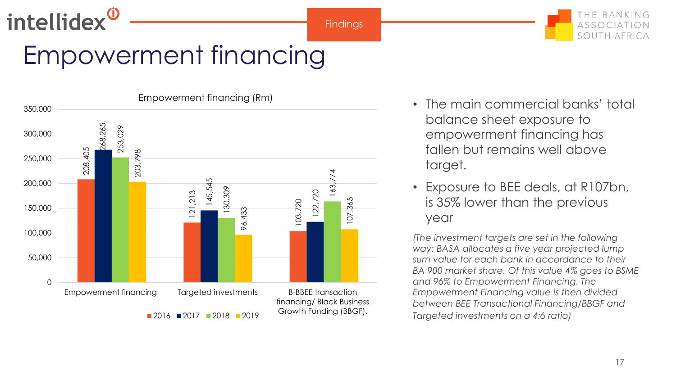intellidex<sup>0</sup>

**Findings** 

## Empowerment financing



- The main commercial banks' total balance sheet exposure to empowerment financing has fallen but remains well above target.
- Exposure to BEE deals, at R107bn, is 35% lower than the previous year

*(The investment targets are set in the following way: BASA allocates a five year projected lump sum value for each bank in accordance to their BA 900 market share. Of this value 4% goes to BSME and 96% to Empowerment Financing. The Empowerment Financing value is then divided between BEE Transactional Financing/BBGF and Targeted investments on a 4:6 ratio)*

HE BANKING ASSOCIATION SOUTH AFRICA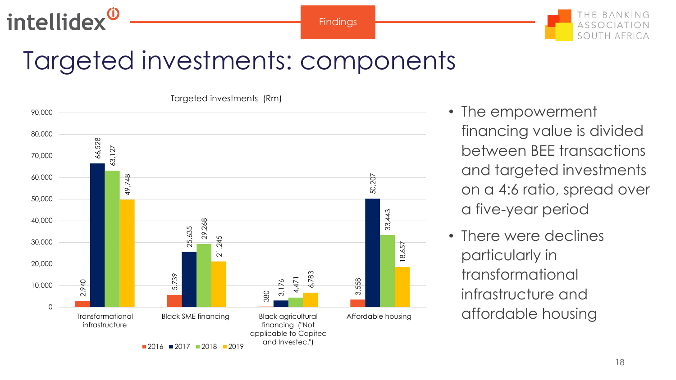# Targeted investments: components

intellidex<sup>0</sup>

2,940 5,739 380 3,558 66,528 25,635  $3,1$ 50,207 63,127 29,268 4,471 33,443 49,748 21,245 6,783 18,657  $\Omega$ 10,000 20,000 30,000 40,000 50,000 60,000 70,000 80,000 90,000 Transformational infrastructure Black SME financing Black agricultural financing ("Not applicable to Capitec and Investec.") Affordable housing Targeted investments (Rm)  $2016$  2017 2018 2019

- The empowerment financing value is divided between BEE transactions and targeted investments on a 4:6 ratio, spread over a five-year period
- There were declines particularly in transformational infrastructure and affordable housing

HE BANKING ASSOCIATION SOUTH AFRICA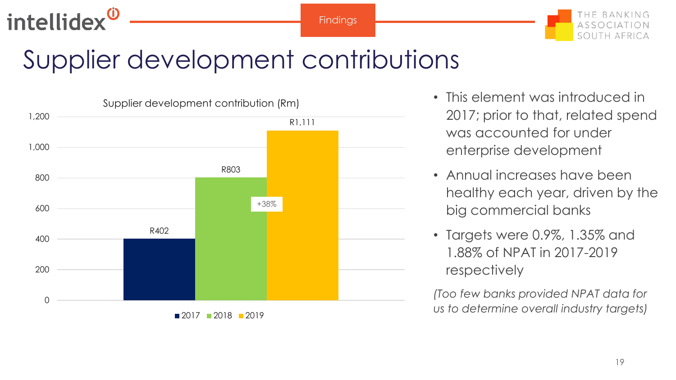



# Supplier development contributions



- This element was introduced in 2017; prior to that, related spend was accounted for under enterprise development
- Annual increases have been healthy each year, driven by the big commercial banks
- Targets were 0.9%, 1.35% and 1.88% of NPAT in 2017-2019 respectively

*(Too few banks provided NPAT data for us to determine overall industry targets)*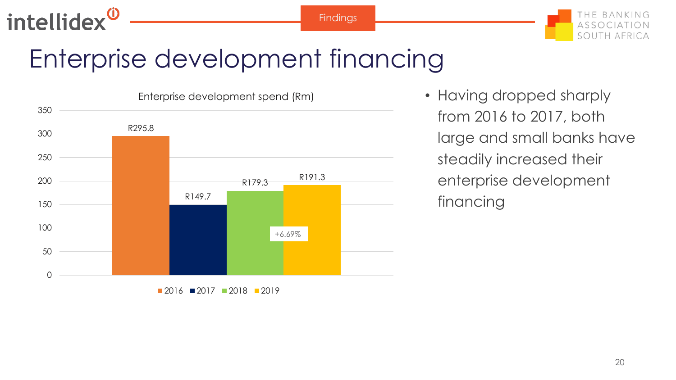





## Enterprise development financing



• Having dropped sharply from 2016 to 2017, both large and small banks have steadily increased their enterprise development financing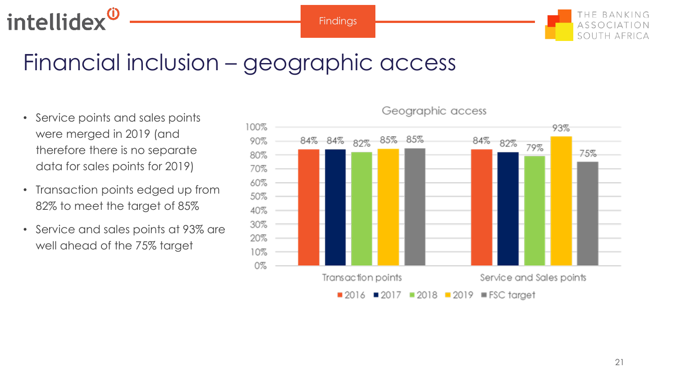# intellidex<sup>0</sup>

#### IF BANKING SOUTH AFRICA

### Financial inclusion – geographic access

- Service points and sales points were merged in 2019 (and therefore there is no separate data for sales points for 2019)
- Transaction points edged up from 82% to meet the target of 85%
- Service and sales points at 93% are well ahead of the 75% target

100% 93% 84% 84% 82% 85% 85% 90% 84% 82% 79% 75% 80% 70% 60% 50% 40% 30% 20% 10% 0% Transaction points Service and Sales points ■2016 ■2017 ■2018 ■2019 ■FSC target

Geographic access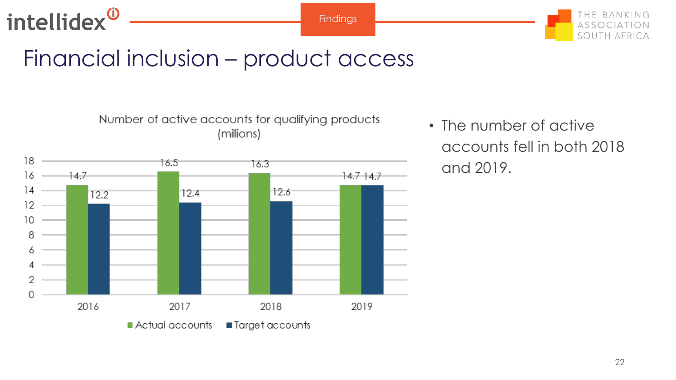





#### Financial inclusion – product access



• The number of active accounts fell in both 2018 and 2019.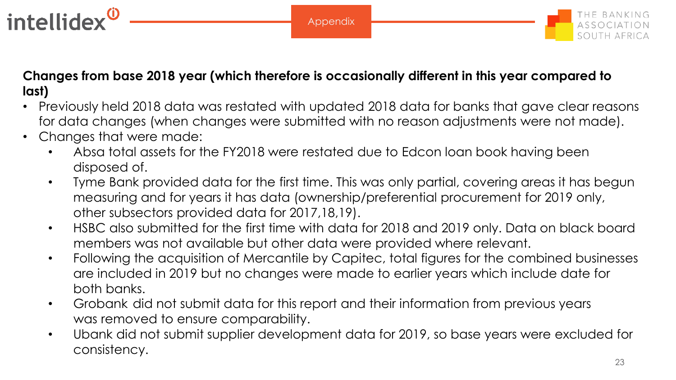

#### **Changes from base 2018 year (which therefore is occasionally different in this year compared to last)**

- Previously held 2018 data was restated with updated 2018 data for banks that gave clear reasons for data changes (when changes were submitted with no reason adjustments were not made).
- Changes that were made:
	- Absa total assets for the FY2018 were restated due to Edcon loan book having been disposed of.
	- Tyme Bank provided data for the first time. This was only partial, covering areas it has begun measuring and for years it has data (ownership/preferential procurement for 2019 only, other subsectors provided data for 2017,18,19).
	- HSBC also submitted for the first time with data for 2018 and 2019 only. Data on black board members was not available but other data were provided where relevant.
	- Following the acquisition of Mercantile by Capitec, total figures for the combined businesses are included in 2019 but no changes were made to earlier years which include date for both banks.
	- Grobank did not submit data for this report and their information from previous years was removed to ensure comparability.
	- Ubank did not submit supplier development data for 2019, so base years were excluded for consistency.